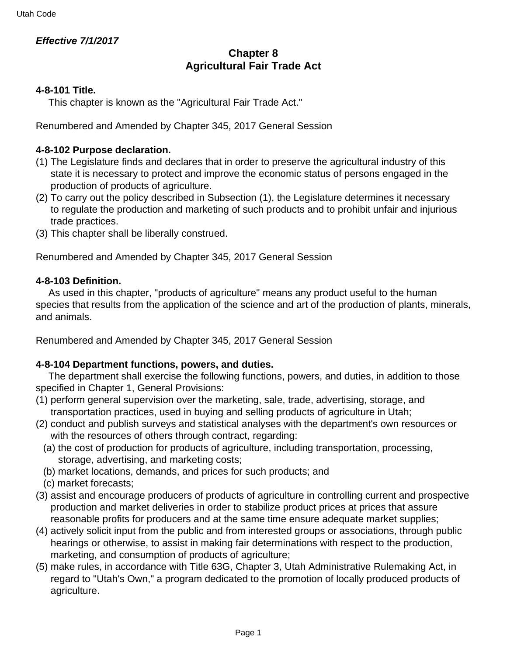## **Effective 7/1/2017**

# **Chapter 8 Agricultural Fair Trade Act**

## **4-8-101 Title.**

This chapter is known as the "Agricultural Fair Trade Act."

Renumbered and Amended by Chapter 345, 2017 General Session

### **4-8-102 Purpose declaration.**

- (1) The Legislature finds and declares that in order to preserve the agricultural industry of this state it is necessary to protect and improve the economic status of persons engaged in the production of products of agriculture.
- (2) To carry out the policy described in Subsection (1), the Legislature determines it necessary to regulate the production and marketing of such products and to prohibit unfair and injurious trade practices.
- (3) This chapter shall be liberally construed.

Renumbered and Amended by Chapter 345, 2017 General Session

### **4-8-103 Definition.**

 As used in this chapter, "products of agriculture" means any product useful to the human species that results from the application of the science and art of the production of plants, minerals, and animals.

Renumbered and Amended by Chapter 345, 2017 General Session

#### **4-8-104 Department functions, powers, and duties.**

 The department shall exercise the following functions, powers, and duties, in addition to those specified in Chapter 1, General Provisions:

- (1) perform general supervision over the marketing, sale, trade, advertising, storage, and transportation practices, used in buying and selling products of agriculture in Utah;
- (2) conduct and publish surveys and statistical analyses with the department's own resources or with the resources of others through contract, regarding:
	- (a) the cost of production for products of agriculture, including transportation, processing, storage, advertising, and marketing costs;
	- (b) market locations, demands, and prices for such products; and
	- (c) market forecasts;
- (3) assist and encourage producers of products of agriculture in controlling current and prospective production and market deliveries in order to stabilize product prices at prices that assure reasonable profits for producers and at the same time ensure adequate market supplies;
- (4) actively solicit input from the public and from interested groups or associations, through public hearings or otherwise, to assist in making fair determinations with respect to the production, marketing, and consumption of products of agriculture;
- (5) make rules, in accordance with Title 63G, Chapter 3, Utah Administrative Rulemaking Act, in regard to "Utah's Own," a program dedicated to the promotion of locally produced products of agriculture.